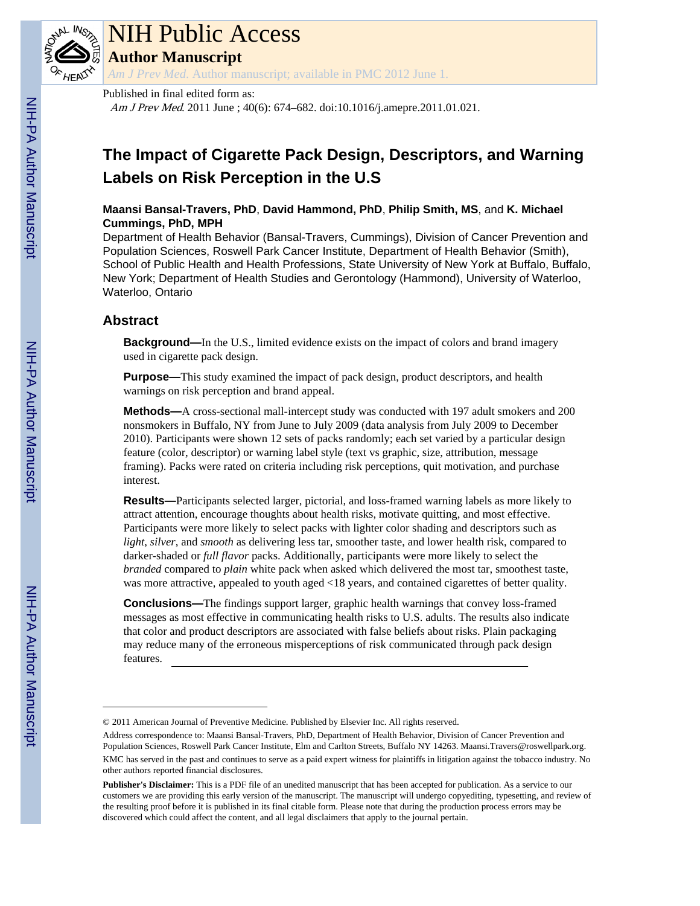

## NIH Public Access

**Author Manuscript**

*Am J Prev Med*. Author manuscript; available in PMC 2012 June 1.

#### Published in final edited form as:

Am J Prev Med. 2011 June ; 40(6): 674–682. doi:10.1016/j.amepre.2011.01.021.

### **The Impact of Cigarette Pack Design, Descriptors, and Warning Labels on Risk Perception in the U.S**

**Maansi Bansal-Travers, PhD**, **David Hammond, PhD**, **Philip Smith, MS**, and **K. Michael Cummings, PhD, MPH**

Department of Health Behavior (Bansal-Travers, Cummings), Division of Cancer Prevention and Population Sciences, Roswell Park Cancer Institute, Department of Health Behavior (Smith), School of Public Health and Health Professions, State University of New York at Buffalo, Buffalo, New York; Department of Health Studies and Gerontology (Hammond), University of Waterloo, Waterloo, Ontario

#### **Abstract**

**Background—**In the U.S., limited evidence exists on the impact of colors and brand imagery used in cigarette pack design.

**Purpose—**This study examined the impact of pack design, product descriptors, and health warnings on risk perception and brand appeal.

**Methods—**A cross-sectional mall-intercept study was conducted with 197 adult smokers and 200 nonsmokers in Buffalo, NY from June to July 2009 (data analysis from July 2009 to December 2010). Participants were shown 12 sets of packs randomly; each set varied by a particular design feature (color, descriptor) or warning label style (text vs graphic, size, attribution, message framing). Packs were rated on criteria including risk perceptions, quit motivation, and purchase interest.

**Results—**Participants selected larger, pictorial, and loss-framed warning labels as more likely to attract attention, encourage thoughts about health risks, motivate quitting, and most effective. Participants were more likely to select packs with lighter color shading and descriptors such as *light*, *silver*, and *smooth* as delivering less tar, smoother taste, and lower health risk, compared to darker-shaded or *full flavor* packs. Additionally, participants were more likely to select the *branded* compared to *plain* white pack when asked which delivered the most tar, smoothest taste, was more attractive, appealed to youth aged <18 years, and contained cigarettes of better quality.

**Conclusions—**The findings support larger, graphic health warnings that convey loss-framed messages as most effective in communicating health risks to U.S. adults. The results also indicate that color and product descriptors are associated with false beliefs about risks. Plain packaging may reduce many of the erroneous misperceptions of risk communicated through pack design features.

<sup>© 2011</sup> American Journal of Preventive Medicine. Published by Elsevier Inc. All rights reserved.

Address correspondence to: Maansi Bansal-Travers, PhD, Department of Health Behavior, Division of Cancer Prevention and Population Sciences, Roswell Park Cancer Institute, Elm and Carlton Streets, Buffalo NY 14263. Maansi.Travers@roswellpark.org. KMC has served in the past and continues to serve as a paid expert witness for plaintiffs in litigation against the tobacco industry. No other authors reported financial disclosures.

**Publisher's Disclaimer:** This is a PDF file of an unedited manuscript that has been accepted for publication. As a service to our customers we are providing this early version of the manuscript. The manuscript will undergo copyediting, typesetting, and review of the resulting proof before it is published in its final citable form. Please note that during the production process errors may be discovered which could affect the content, and all legal disclaimers that apply to the journal pertain.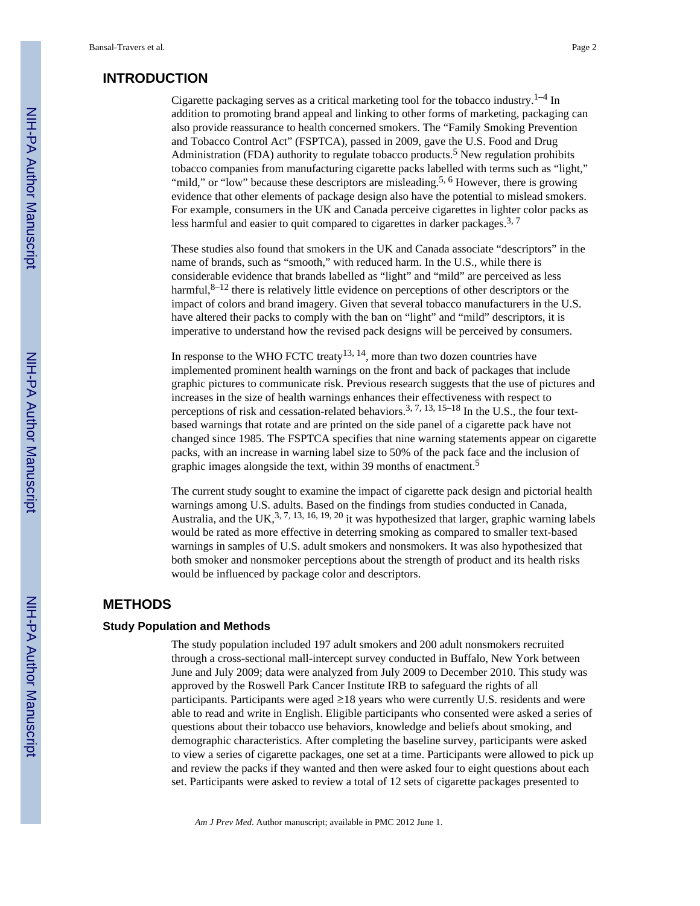#### **INTRODUCTION**

Cigarette packaging serves as a critical marketing tool for the tobacco industry.<sup>1–4</sup> In addition to promoting brand appeal and linking to other forms of marketing, packaging can also provide reassurance to health concerned smokers. The "Family Smoking Prevention and Tobacco Control Act" (FSPTCA), passed in 2009, gave the U.S. Food and Drug Administration (FDA) authority to regulate tobacco products.<sup>5</sup> New regulation prohibits tobacco companies from manufacturing cigarette packs labelled with terms such as "light," "mild," or "low" because these descriptors are misleading.<sup>5, 6</sup> However, there is growing evidence that other elements of package design also have the potential to mislead smokers. For example, consumers in the UK and Canada perceive cigarettes in lighter color packs as less harmful and easier to quit compared to cigarettes in darker packages.<sup>3, 7</sup>

These studies also found that smokers in the UK and Canada associate "descriptors" in the name of brands, such as "smooth," with reduced harm. In the U.S., while there is considerable evidence that brands labelled as "light" and "mild" are perceived as less harmful, $8-12$  there is relatively little evidence on perceptions of other descriptors or the impact of colors and brand imagery. Given that several tobacco manufacturers in the U.S. have altered their packs to comply with the ban on "light" and "mild" descriptors, it is imperative to understand how the revised pack designs will be perceived by consumers.

In response to the WHO FCTC treaty<sup>13, 14</sup>, more than two dozen countries have implemented prominent health warnings on the front and back of packages that include graphic pictures to communicate risk. Previous research suggests that the use of pictures and increases in the size of health warnings enhances their effectiveness with respect to perceptions of risk and cessation-related behaviors.<sup>3, 7, 13, 15–18</sup> In the U.S., the four textbased warnings that rotate and are printed on the side panel of a cigarette pack have not changed since 1985. The FSPTCA specifies that nine warning statements appear on cigarette packs, with an increase in warning label size to 50% of the pack face and the inclusion of graphic images alongside the text, within 39 months of enactment.<sup>5</sup>

The current study sought to examine the impact of cigarette pack design and pictorial health warnings among U.S. adults. Based on the findings from studies conducted in Canada, Australia, and the UK,<sup>3, 7, 13, 16, 19, 20</sup> it was hypothesized that larger, graphic warning labels would be rated as more effective in deterring smoking as compared to smaller text-based warnings in samples of U.S. adult smokers and nonsmokers. It was also hypothesized that both smoker and nonsmoker perceptions about the strength of product and its health risks would be influenced by package color and descriptors.

#### **METHODS**

#### **Study Population and Methods**

The study population included 197 adult smokers and 200 adult nonsmokers recruited through a cross-sectional mall-intercept survey conducted in Buffalo, New York between June and July 2009; data were analyzed from July 2009 to December 2010. This study was approved by the Roswell Park Cancer Institute IRB to safeguard the rights of all participants. Participants were aged  $\geq 18$  years who were currently U.S. residents and were able to read and write in English. Eligible participants who consented were asked a series of questions about their tobacco use behaviors, knowledge and beliefs about smoking, and demographic characteristics. After completing the baseline survey, participants were asked to view a series of cigarette packages, one set at a time. Participants were allowed to pick up and review the packs if they wanted and then were asked four to eight questions about each set. Participants were asked to review a total of 12 sets of cigarette packages presented to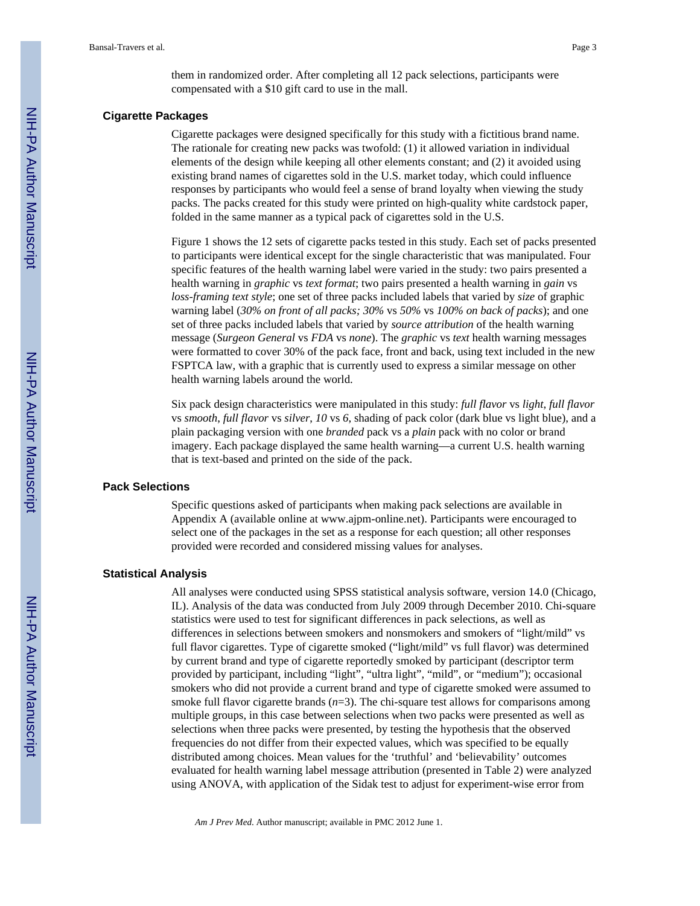them in randomized order. After completing all 12 pack selections, participants were compensated with a \$10 gift card to use in the mall.

#### **Cigarette Packages**

Cigarette packages were designed specifically for this study with a fictitious brand name. The rationale for creating new packs was twofold: (1) it allowed variation in individual elements of the design while keeping all other elements constant; and (2) it avoided using existing brand names of cigarettes sold in the U.S. market today, which could influence responses by participants who would feel a sense of brand loyalty when viewing the study packs. The packs created for this study were printed on high-quality white cardstock paper, folded in the same manner as a typical pack of cigarettes sold in the U.S.

Figure 1 shows the 12 sets of cigarette packs tested in this study. Each set of packs presented to participants were identical except for the single characteristic that was manipulated. Four specific features of the health warning label were varied in the study: two pairs presented a health warning in *graphic* vs *text format*; two pairs presented a health warning in *gain* vs *loss-framing text style*; one set of three packs included labels that varied by *size* of graphic warning label (*30% on front of all packs; 30%* vs *50%* vs *100% on back of packs*); and one set of three packs included labels that varied by *source attribution* of the health warning message (*Surgeon General* vs *FDA* vs *none*). The *graphic* vs *text* health warning messages were formatted to cover 30% of the pack face, front and back, using text included in the new FSPTCA law, with a graphic that is currently used to express a similar message on other health warning labels around the world.

Six pack design characteristics were manipulated in this study: *full flavor* vs *light*, *full flavor* vs *smooth*, *full flavor* vs *silver*, *10* vs *6*, shading of pack color (dark blue vs light blue), and a plain packaging version with one *branded* pack vs a *plain* pack with no color or brand imagery. Each package displayed the same health warning—a current U.S. health warning that is text-based and printed on the side of the pack.

#### **Pack Selections**

Specific questions asked of participants when making pack selections are available in Appendix A (available online at www.ajpm-online.net). Participants were encouraged to select one of the packages in the set as a response for each question; all other responses provided were recorded and considered missing values for analyses.

#### **Statistical Analysis**

All analyses were conducted using SPSS statistical analysis software, version 14.0 (Chicago, IL). Analysis of the data was conducted from July 2009 through December 2010. Chi-square statistics were used to test for significant differences in pack selections, as well as differences in selections between smokers and nonsmokers and smokers of "light/mild" vs full flavor cigarettes. Type of cigarette smoked ("light/mild" vs full flavor) was determined by current brand and type of cigarette reportedly smoked by participant (descriptor term provided by participant, including "light", "ultra light", "mild", or "medium"); occasional smokers who did not provide a current brand and type of cigarette smoked were assumed to smoke full flavor cigarette brands ( $n=3$ ). The chi-square test allows for comparisons among multiple groups, in this case between selections when two packs were presented as well as selections when three packs were presented, by testing the hypothesis that the observed frequencies do not differ from their expected values, which was specified to be equally distributed among choices. Mean values for the 'truthful' and 'believability' outcomes evaluated for health warning label message attribution (presented in Table 2) were analyzed using ANOVA, with application of the Sidak test to adjust for experiment-wise error from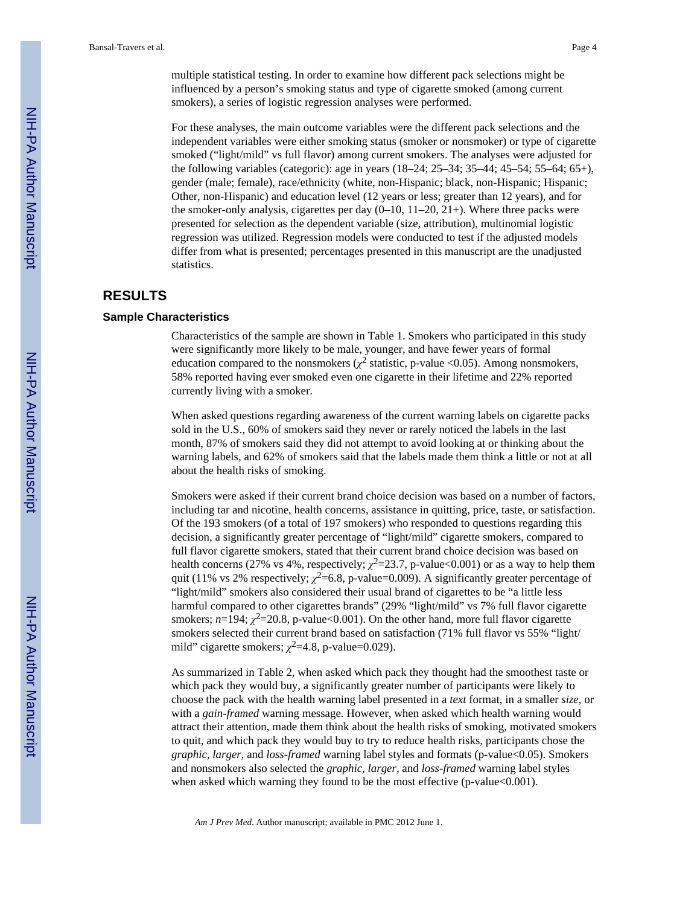multiple statistical testing. In order to examine how different pack selections might be influenced by a person's smoking status and type of cigarette smoked (among current smokers), a series of logistic regression analyses were performed.

For these analyses, the main outcome variables were the different pack selections and the independent variables were either smoking status (smoker or nonsmoker) or type of cigarette smoked ("light/mild" vs full flavor) among current smokers. The analyses were adjusted for the following variables (categoric): age in years (18–24; 25–34; 35–44; 45–54; 55–64; 65+), gender (male; female), race/ethnicity (white, non-Hispanic; black, non-Hispanic; Hispanic; Other, non-Hispanic) and education level (12 years or less; greater than 12 years), and for the smoker-only analysis, cigarettes per day  $(0-10, 11-20, 21+)$ . Where three packs were presented for selection as the dependent variable (size, attribution), multinomial logistic regression was utilized. Regression models were conducted to test if the adjusted models differ from what is presented; percentages presented in this manuscript are the unadjusted statistics.

#### **RESULTS**

#### **Sample Characteristics**

Characteristics of the sample are shown in Table 1. Smokers who participated in this study were significantly more likely to be male, younger, and have fewer years of formal education compared to the nonsmokers ( $\chi^2$  statistic, p-value <0.05). Among nonsmokers, 58% reported having ever smoked even one cigarette in their lifetime and 22% reported currently living with a smoker.

When asked questions regarding awareness of the current warning labels on cigarette packs sold in the U.S., 60% of smokers said they never or rarely noticed the labels in the last month, 87% of smokers said they did not attempt to avoid looking at or thinking about the warning labels, and 62% of smokers said that the labels made them think a little or not at all about the health risks of smoking.

Smokers were asked if their current brand choice decision was based on a number of factors, including tar and nicotine, health concerns, assistance in quitting, price, taste, or satisfaction. Of the 193 smokers (of a total of 197 smokers) who responded to questions regarding this decision, a significantly greater percentage of "light/mild" cigarette smokers, compared to full flavor cigarette smokers, stated that their current brand choice decision was based on health concerns (27% vs 4%, respectively;  $\chi^2$ =23.7, p-value<0.001) or as a way to help them quit (11% vs 2% respectively;  $\chi^2$ =6.8, p-value=0.009). A significantly greater percentage of "light/mild" smokers also considered their usual brand of cigarettes to be "a little less harmful compared to other cigarettes brands" (29% "light/mild" vs 7% full flavor cigarette smokers;  $n=194$ ;  $\chi^2=20.8$ , p-value<0.001). On the other hand, more full flavor cigarette smokers selected their current brand based on satisfaction (71% full flavor vs 55% "light/ mild" cigarette smokers;  $\chi^2$ =4.8, p-value=0.029).

As summarized in Table 2, when asked which pack they thought had the smoothest taste or which pack they would buy, a significantly greater number of participants were likely to choose the pack with the health warning label presented in a *text* format, in a smaller *size*, or with a *gain-framed* warning message. However, when asked which health warning would attract their attention, made them think about the health risks of smoking, motivated smokers to quit, and which pack they would buy to try to reduce health risks, participants chose the *graphic, larger,* and *loss-framed* warning label styles and formats (p-value<0.05). Smokers and nonsmokers also selected the *graphic, larger,* and *loss-framed* warning label styles when asked which warning they found to be the most effective (p-value < 0.001).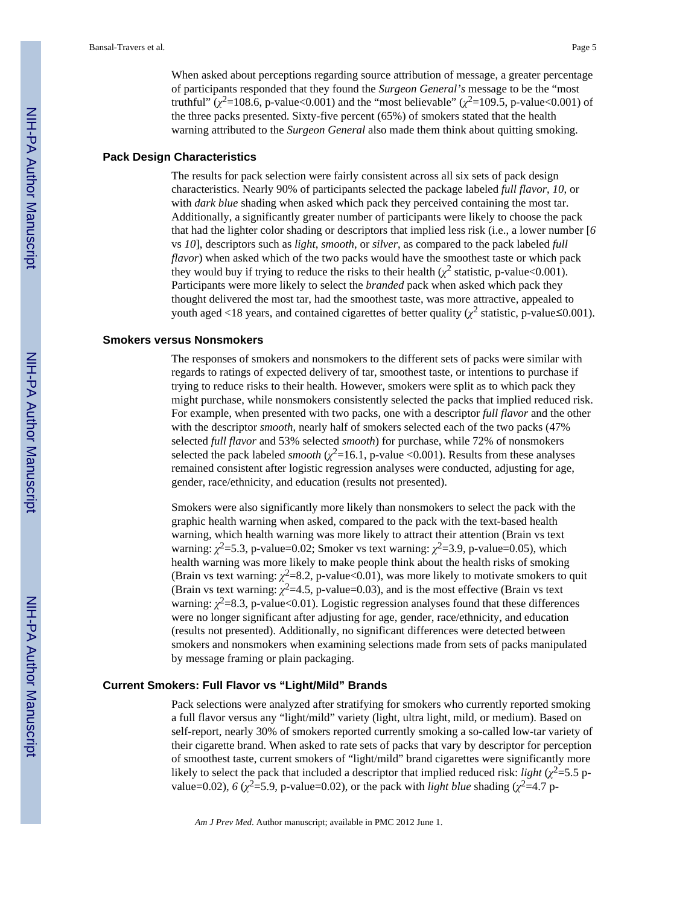#### **Pack Design Characteristics**

The results for pack selection were fairly consistent across all six sets of pack design characteristics. Nearly 90% of participants selected the package labeled *full flavor*, *10*, or with *dark blue* shading when asked which pack they perceived containing the most tar. Additionally, a significantly greater number of participants were likely to choose the pack that had the lighter color shading or descriptors that implied less risk (i.e., a lower number [*6* vs *10*], descriptors such as *light*, *smooth*, or *silver*, as compared to the pack labeled *full flavor*) when asked which of the two packs would have the smoothest taste or which pack they would buy if trying to reduce the risks to their health  $(\chi^2$  statistic, p-value<0.001). Participants were more likely to select the *branded* pack when asked which pack they thought delivered the most tar, had the smoothest taste, was more attractive, appealed to youth aged <18 years, and contained cigarettes of better quality  $(\chi^2$  statistic, p-value ≤0.001).

#### **Smokers versus Nonsmokers**

The responses of smokers and nonsmokers to the different sets of packs were similar with regards to ratings of expected delivery of tar, smoothest taste, or intentions to purchase if trying to reduce risks to their health. However, smokers were split as to which pack they might purchase, while nonsmokers consistently selected the packs that implied reduced risk. For example, when presented with two packs, one with a descriptor *full flavor* and the other with the descriptor *smooth*, nearly half of smokers selected each of the two packs (47% selected *full flavor* and 53% selected *smooth*) for purchase, while 72% of nonsmokers selected the pack labeled *smooth* ( $\chi^2$ =16.1, p-value <0.001). Results from these analyses remained consistent after logistic regression analyses were conducted, adjusting for age, gender, race/ethnicity, and education (results not presented).

Smokers were also significantly more likely than nonsmokers to select the pack with the graphic health warning when asked, compared to the pack with the text-based health warning, which health warning was more likely to attract their attention (Brain vs text warning:  $\chi^2$ =5.3, p-value=0.02; Smoker vs text warning:  $\chi^2$ =3.9, p-value=0.05), which health warning was more likely to make people think about the health risks of smoking (Brain vs text warning:  $\chi^2$ =8.2, p-value<0.01), was more likely to motivate smokers to quit (Brain vs text warning:  $\chi^2$ =4.5, p-value=0.03), and is the most effective (Brain vs text warning:  $\chi^2$ =8.3, p-value<0.01). Logistic regression analyses found that these differences were no longer significant after adjusting for age, gender, race/ethnicity, and education (results not presented). Additionally, no significant differences were detected between smokers and nonsmokers when examining selections made from sets of packs manipulated by message framing or plain packaging.

#### **Current Smokers: Full Flavor vs "Light/Mild" Brands**

Pack selections were analyzed after stratifying for smokers who currently reported smoking a full flavor versus any "light/mild" variety (light, ultra light, mild, or medium). Based on self-report, nearly 30% of smokers reported currently smoking a so-called low-tar variety of their cigarette brand. When asked to rate sets of packs that vary by descriptor for perception of smoothest taste, current smokers of "light/mild" brand cigarettes were significantly more likely to select the pack that included a descriptor that implied reduced risk: *light* ( $\chi^2$ =5.5 pvalue=0.02),  $6 \left(\chi^2 = 5.9\right)$ , p-value=0.02), or the pack with *light blue* shading  $\left(\chi^2 = 4.7\right)$  p-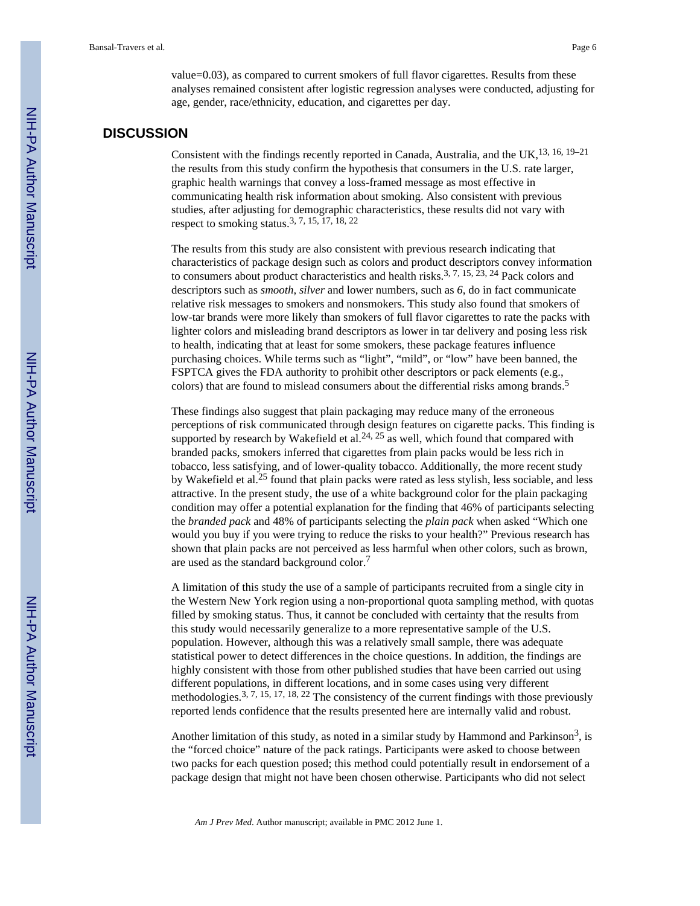value=0.03), as compared to current smokers of full flavor cigarettes. Results from these analyses remained consistent after logistic regression analyses were conducted, adjusting for age, gender, race/ethnicity, education, and cigarettes per day.

#### **DISCUSSION**

Consistent with the findings recently reported in Canada, Australia, and the UK,<sup>13, 16, 19–21</sup> the results from this study confirm the hypothesis that consumers in the U.S. rate larger, graphic health warnings that convey a loss-framed message as most effective in communicating health risk information about smoking. Also consistent with previous studies, after adjusting for demographic characteristics, these results did not vary with respect to smoking status.3, 7, 15, 17, 18, 22

The results from this study are also consistent with previous research indicating that characteristics of package design such as colors and product descriptors convey information to consumers about product characteristics and health risks.<sup>3, 7, 15,  $\bar{2}3$ , 24 Pack colors and</sup> descriptors such as *smooth*, *silver* and lower numbers, such as *6*, do in fact communicate relative risk messages to smokers and nonsmokers. This study also found that smokers of low-tar brands were more likely than smokers of full flavor cigarettes to rate the packs with lighter colors and misleading brand descriptors as lower in tar delivery and posing less risk to health, indicating that at least for some smokers, these package features influence purchasing choices. While terms such as "light", "mild", or "low" have been banned, the FSPTCA gives the FDA authority to prohibit other descriptors or pack elements (e.g., colors) that are found to mislead consumers about the differential risks among brands.<sup>5</sup>

These findings also suggest that plain packaging may reduce many of the erroneous perceptions of risk communicated through design features on cigarette packs. This finding is supported by research by Wakefield et al.<sup>24, 25</sup> as well, which found that compared with branded packs, smokers inferred that cigarettes from plain packs would be less rich in tobacco, less satisfying, and of lower-quality tobacco. Additionally, the more recent study by Wakefield et al.<sup>25</sup> found that plain packs were rated as less stylish, less sociable, and less attractive. In the present study, the use of a white background color for the plain packaging condition may offer a potential explanation for the finding that 46% of participants selecting the *branded pack* and 48% of participants selecting the *plain pack* when asked "Which one would you buy if you were trying to reduce the risks to your health?" Previous research has shown that plain packs are not perceived as less harmful when other colors, such as brown, are used as the standard background color.<sup>7</sup>

A limitation of this study the use of a sample of participants recruited from a single city in the Western New York region using a non-proportional quota sampling method, with quotas filled by smoking status. Thus, it cannot be concluded with certainty that the results from this study would necessarily generalize to a more representative sample of the U.S. population. However, although this was a relatively small sample, there was adequate statistical power to detect differences in the choice questions. In addition, the findings are highly consistent with those from other published studies that have been carried out using different populations, in different locations, and in some cases using very different methodologies.<sup>3, 7, 15, 17, 18, 22</sup> The consistency of the current findings with those previously reported lends confidence that the results presented here are internally valid and robust.

Another limitation of this study, as noted in a similar study by Hammond and Parkinson<sup>3</sup>, is the "forced choice" nature of the pack ratings. Participants were asked to choose between two packs for each question posed; this method could potentially result in endorsement of a package design that might not have been chosen otherwise. Participants who did not select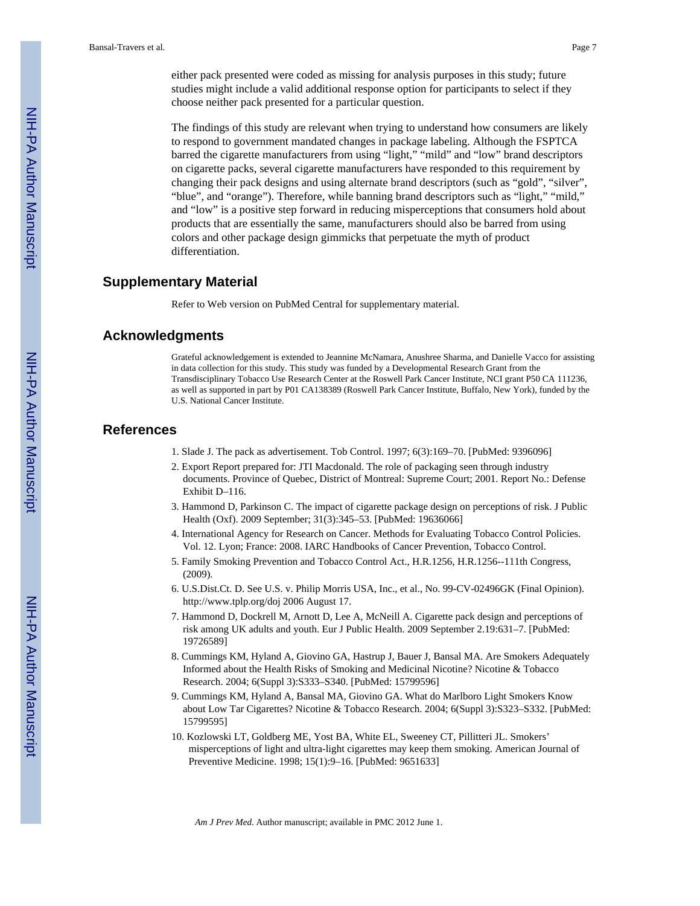either pack presented were coded as missing for analysis purposes in this study; future studies might include a valid additional response option for participants to select if they choose neither pack presented for a particular question.

The findings of this study are relevant when trying to understand how consumers are likely to respond to government mandated changes in package labeling. Although the FSPTCA barred the cigarette manufacturers from using "light," "mild" and "low" brand descriptors on cigarette packs, several cigarette manufacturers have responded to this requirement by changing their pack designs and using alternate brand descriptors (such as "gold", "silver", "blue", and "orange"). Therefore, while banning brand descriptors such as "light," "mild," and "low" is a positive step forward in reducing misperceptions that consumers hold about products that are essentially the same, manufacturers should also be barred from using colors and other package design gimmicks that perpetuate the myth of product differentiation.

#### **Supplementary Material**

Refer to Web version on PubMed Central for supplementary material.

#### **Acknowledgments**

Grateful acknowledgement is extended to Jeannine McNamara, Anushree Sharma, and Danielle Vacco for assisting in data collection for this study. This study was funded by a Developmental Research Grant from the Transdisciplinary Tobacco Use Research Center at the Roswell Park Cancer Institute, NCI grant P50 CA 111236, as well as supported in part by P01 CA138389 (Roswell Park Cancer Institute, Buffalo, New York), funded by the U.S. National Cancer Institute.

#### **References**

- 1. Slade J. The pack as advertisement. Tob Control. 1997; 6(3):169–70. [PubMed: 9396096]
- 2. Export Report prepared for: JTI Macdonald. The role of packaging seen through industry documents. Province of Quebec, District of Montreal: Supreme Court; 2001. Report No.: Defense Exhibit D–116.
- 3. Hammond D, Parkinson C. The impact of cigarette package design on perceptions of risk. J Public Health (Oxf). 2009 September; 31(3):345–53. [PubMed: 19636066]
- 4. International Agency for Research on Cancer. Methods for Evaluating Tobacco Control Policies. Vol. 12. Lyon; France: 2008. IARC Handbooks of Cancer Prevention, Tobacco Control.
- 5. Family Smoking Prevention and Tobacco Control Act., H.R.1256, H.R.1256--111th Congress, (2009).
- 6. U.S.Dist.Ct. D. See U.S. v. Philip Morris USA, Inc., et al., No. 99-CV-02496GK (Final Opinion). <http://www.tplp.org/doj>2006 August 17.
- 7. Hammond D, Dockrell M, Arnott D, Lee A, McNeill A. Cigarette pack design and perceptions of risk among UK adults and youth. Eur J Public Health. 2009 September 2.19:631–7. [PubMed: 19726589]
- 8. Cummings KM, Hyland A, Giovino GA, Hastrup J, Bauer J, Bansal MA. Are Smokers Adequately Informed about the Health Risks of Smoking and Medicinal Nicotine? Nicotine & Tobacco Research. 2004; 6(Suppl 3):S333–S340. [PubMed: 15799596]
- 9. Cummings KM, Hyland A, Bansal MA, Giovino GA. What do Marlboro Light Smokers Know about Low Tar Cigarettes? Nicotine & Tobacco Research. 2004; 6(Suppl 3):S323–S332. [PubMed: 15799595]
- 10. Kozlowski LT, Goldberg ME, Yost BA, White EL, Sweeney CT, Pillitteri JL. Smokers' misperceptions of light and ultra-light cigarettes may keep them smoking. American Journal of Preventive Medicine. 1998; 15(1):9–16. [PubMed: 9651633]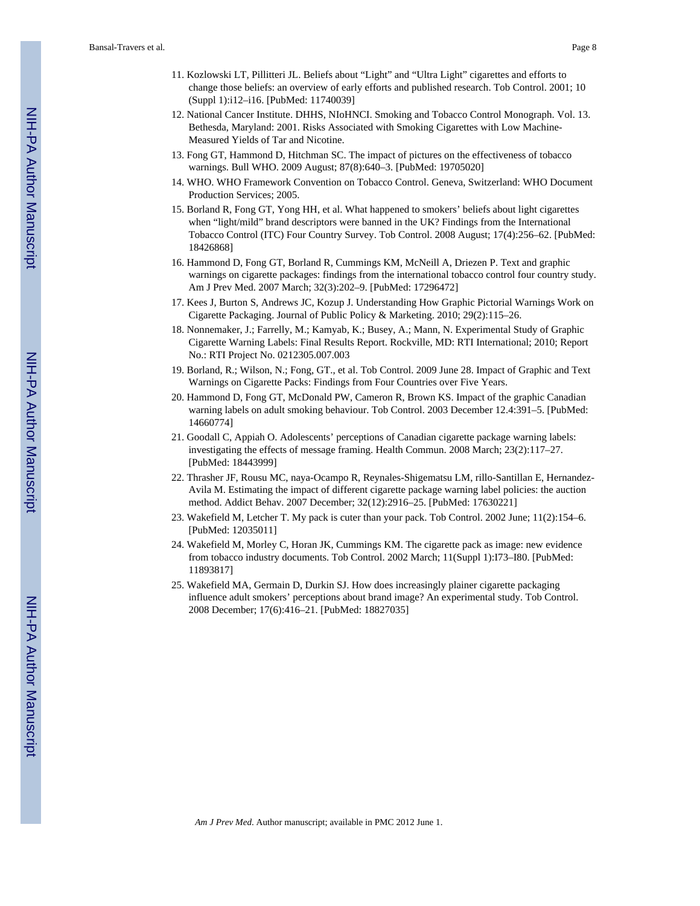- 11. Kozlowski LT, Pillitteri JL. Beliefs about "Light" and "Ultra Light" cigarettes and efforts to change those beliefs: an overview of early efforts and published research. Tob Control. 2001; 10 (Suppl 1):i12–i16. [PubMed: 11740039]
- 12. National Cancer Institute. DHHS, NIoHNCI. Smoking and Tobacco Control Monograph. Vol. 13. Bethesda, Maryland: 2001. Risks Associated with Smoking Cigarettes with Low Machine-Measured Yields of Tar and Nicotine.
- 13. Fong GT, Hammond D, Hitchman SC. The impact of pictures on the effectiveness of tobacco warnings. Bull WHO. 2009 August; 87(8):640–3. [PubMed: 19705020]
- 14. WHO. WHO Framework Convention on Tobacco Control. Geneva, Switzerland: WHO Document Production Services; 2005.
- 15. Borland R, Fong GT, Yong HH, et al. What happened to smokers' beliefs about light cigarettes when "light/mild" brand descriptors were banned in the UK? Findings from the International Tobacco Control (ITC) Four Country Survey. Tob Control. 2008 August; 17(4):256–62. [PubMed: 18426868]
- 16. Hammond D, Fong GT, Borland R, Cummings KM, McNeill A, Driezen P. Text and graphic warnings on cigarette packages: findings from the international tobacco control four country study. Am J Prev Med. 2007 March; 32(3):202–9. [PubMed: 17296472]
- 17. Kees J, Burton S, Andrews JC, Kozup J. Understanding How Graphic Pictorial Warnings Work on Cigarette Packaging. Journal of Public Policy & Marketing. 2010; 29(2):115–26.
- 18. Nonnemaker, J.; Farrelly, M.; Kamyab, K.; Busey, A.; Mann, N. Experimental Study of Graphic Cigarette Warning Labels: Final Results Report. Rockville, MD: RTI International; 2010; Report No.: RTI Project No. 0212305.007.003
- 19. Borland, R.; Wilson, N.; Fong, GT., et al. Tob Control. 2009 June 28. Impact of Graphic and Text Warnings on Cigarette Packs: Findings from Four Countries over Five Years.
- 20. Hammond D, Fong GT, McDonald PW, Cameron R, Brown KS. Impact of the graphic Canadian warning labels on adult smoking behaviour. Tob Control. 2003 December 12.4:391–5. [PubMed: 14660774]
- 21. Goodall C, Appiah O. Adolescents' perceptions of Canadian cigarette package warning labels: investigating the effects of message framing. Health Commun. 2008 March; 23(2):117–27. [PubMed: 18443999]
- 22. Thrasher JF, Rousu MC, naya-Ocampo R, Reynales-Shigematsu LM, rillo-Santillan E, Hernandez-Avila M. Estimating the impact of different cigarette package warning label policies: the auction method. Addict Behav. 2007 December; 32(12):2916–25. [PubMed: 17630221]
- 23. Wakefield M, Letcher T. My pack is cuter than your pack. Tob Control. 2002 June; 11(2):154–6. [PubMed: 12035011]
- 24. Wakefield M, Morley C, Horan JK, Cummings KM. The cigarette pack as image: new evidence from tobacco industry documents. Tob Control. 2002 March; 11(Suppl 1):I73–I80. [PubMed: 11893817]
- 25. Wakefield MA, Germain D, Durkin SJ. How does increasingly plainer cigarette packaging influence adult smokers' perceptions about brand image? An experimental study. Tob Control. 2008 December; 17(6):416–21. [PubMed: 18827035]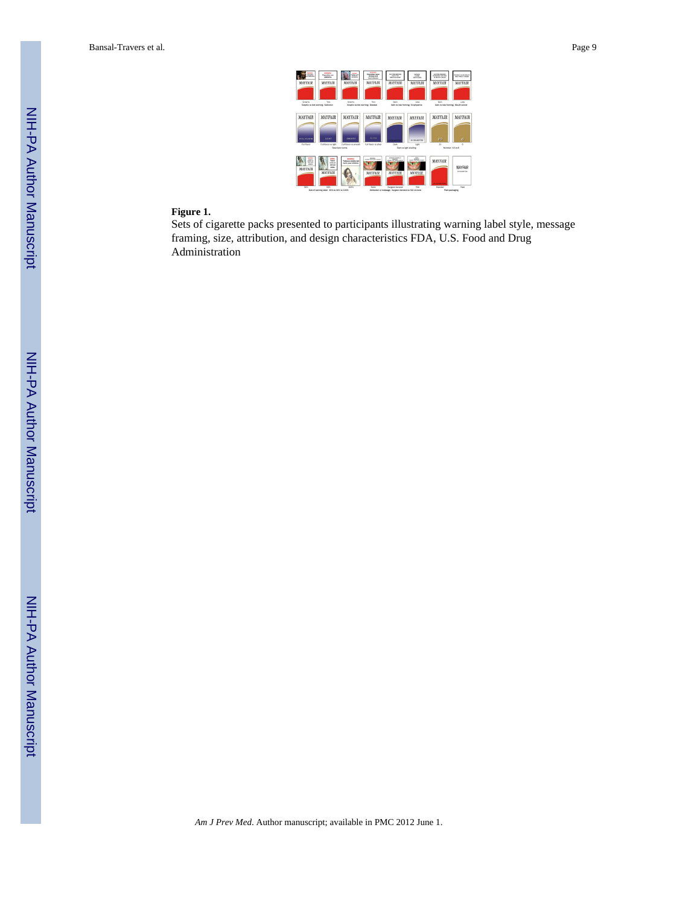| Guestina<br>$-11111$                                    | <b>CONTRACT</b><br>Conveilies are<br><b>MARKET</b>                   | ---<br>$-$<br>---                                                | <b>MARINER</b><br><b>Counties</b> count<br>shrikes and<br><b>Not desses</b> | <b>BUTING SHOULD</b><br><b>MARY VS</b><br><b>BRINGING GALLER</b>          | tehne.<br><b>Charles</b><br><b>Bally Critical</b> | <b>GUTTING BASING</b><br><b>WHILE RESERVE</b><br>or anyme ranger | <b>BOARD CARD BOOK</b><br><b><i>OW: THREAT COM BR</i></b> |
|---------------------------------------------------------|----------------------------------------------------------------------|------------------------------------------------------------------|-----------------------------------------------------------------------------|---------------------------------------------------------------------------|---------------------------------------------------|------------------------------------------------------------------|-----------------------------------------------------------|
| <b>MAYFAIR</b>                                          | <b>MAYFAIR</b>                                                       | <b>MAYFAIR</b>                                                   | <b>MAYFAIR</b>                                                              | <b>MAYFAIR</b>                                                            | <b>MAYFAIR</b>                                    | <b>MAYFAIR</b>                                                   | <b>MAYFAIR</b>                                            |
|                                                         |                                                                      |                                                                  |                                                                             |                                                                           |                                                   |                                                                  |                                                           |
| Graphic                                                 | Tax<br>Graphic vs text warning: Addiction                            | Graphic<br>Graphic vs text warning: Disease                      | Task                                                                        | Gain                                                                      | Loss<br>Gain vs loss framing: Emphysema           | Gain                                                             | Lean.<br>Gain vs loss framing: Mouth cancer               |
|                                                         |                                                                      |                                                                  |                                                                             |                                                                           |                                                   |                                                                  |                                                           |
| MAYFAIR                                                 | <b>MAYFAIR</b>                                                       | MAYFAIR                                                          | MAYFAIR                                                                     | <b>MAYFAIR</b>                                                            | <b>MAYFAIR</b>                                    | <b>MAYFAIR</b>                                                   | MAYFAIR                                                   |
| <b>FULL FLOWS</b>                                       | LIGIT                                                                | <b><i>SMOOTH</i></b>                                             | <b>NUMBER</b>                                                               |                                                                           | 20 CELARETTES                                     | 10                                                               | R.                                                        |
| Full finance                                            | Full financias labi                                                  | Full Revor vs smooth<br>Descriptor tennis                        | Full Steate us silver                                                       | Dark                                                                      | <b>Light</b><br>Dark vs light shading             | 10                                                               | ×<br>Number <sub>10</sub> vs 6                            |
|                                                         |                                                                      |                                                                  |                                                                             |                                                                           | <b>TANK</b>                                       |                                                                  |                                                           |
| <b>Wallen</b><br>--<br>tere and<br>--<br><b>MAYFAIR</b> | <b>Telepin</b><br><b>DOM OF</b><br>tensor<br>ninu.<br><b>MAYFAIR</b> | <b>MARINE</b><br><b>Tabacco smoke can</b><br>harm your children. | <b>MARK</b><br><b>STANTON CARD LAWAY</b><br><b>MAYFAIR</b>                  | <b>BANKER SCHOOLS</b><br><b>TRANSFERS SAVAS FRANCIS</b><br><b>MAYEAIR</b> | state.<br>DEMANT RA LAVES LINESIN<br>MAYFAIR      | <b>MAYFAIR</b><br><b>CONTRACTOR</b>                              | MAYFAIR<br>30 OGANETIES                                   |
| MAG                                                     | <b>SZW</b><br>Size of warning labet 30% vs 50% vs 100%               | 100%                                                             | <b>Alcohol</b>                                                              | Surgeon General<br>Attribution of message: Surgeon General vs FDA vs none | <b>EDA</b>                                        | Eranded                                                          | <b>Distr</b><br>Plain packaging                           |
|                                                         |                                                                      |                                                                  |                                                                             |                                                                           |                                                   |                                                                  |                                                           |

#### **Figure 1.**

Sets of cigarette packs presented to participants illustrating warning label style, message framing, size, attribution, and design characteristics FDA, U.S. Food and Drug Administration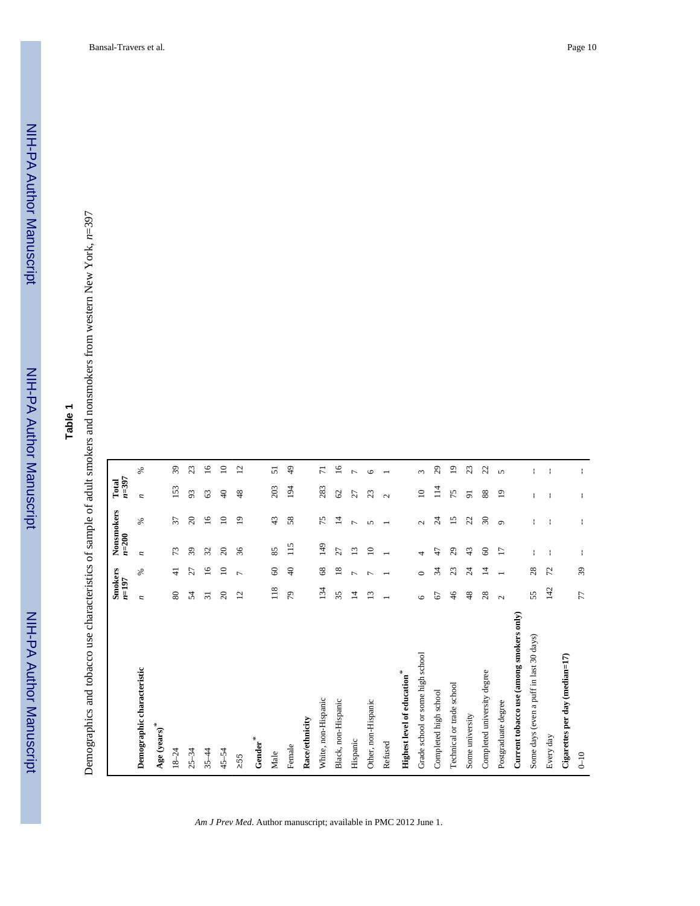NIH-PA Author Manuscript

NIH-PA Author Manuscript

# **Table 1**

Demographics and tobacco use characteristics of sample of adult smokers and nonsmokers from western New York, Demographics and tobacco use characteristics of sample of adult smokers and nonsmokers from western New York, n=397

|                                          | <b>Smokers</b>  |                          |                 | Nonsmokers               | Total          |                 |
|------------------------------------------|-----------------|--------------------------|-----------------|--------------------------|----------------|-----------------|
|                                          | $n = 197$       |                          | $n = 200$       |                          | $n = 397$      |                 |
| Demographic characteristic               | z               | $\%$                     | z               | $\%$                     | z              | $\%$            |
| Age (years)*                             |                 |                          |                 |                          |                |                 |
| $18 - 24$                                | 80              | $\frac{1}{4}$            | 73              | 57                       | 153            | $\overline{39}$ |
| $-34$<br>25                              | 24              | 27                       | 39              | $\approx$                | 93             | 23              |
| $35 - 44$                                | $\overline{31}$ | $\frac{6}{1}$            | $\mathfrak{D}$  | $\overline{16}$          | 63             | $\overline{16}$ |
| $45 - 54$                                | $\approx$       | $\Xi$                    | $\Omega$        | $\approx$                | $\Theta$       | $\Xi$           |
| $\geq 55$                                | $\overline{c}$  | $\overline{ }$           | 36              | $\overline{19}$          | 48             | $\overline{12}$ |
| Gender $^\ast$                           |                 |                          |                 |                          |                |                 |
| Male                                     | 118             | 8                        | 85              | 43                       | 203            | 51              |
| Female                                   | 56              | $\Theta$                 | 115             | 58                       | 194            | $\frac{9}{4}$   |
| Race/ethnicity                           |                 |                          |                 |                          |                |                 |
| White, non-Hispanic                      | 134             | $^{8}$                   | 149             | 75                       | 283            | $\overline{7}$  |
| Black, non-Hispanic                      | 35              | $\frac{8}{18}$           | $\mathfrak{L}7$ | 4                        | $\mathcal{O}$  | $\overline{16}$ |
| Hispanic                                 | ᅼ               | $\overline{ }$           | $\overline{13}$ | $\overline{ }$           | 27             | $\overline{ }$  |
| Other, non-Hispanic                      | $\mathbf{r}$    | r                        | $\overline{10}$ | $\mathbf{v}$             | 23             | $\circ$         |
| Refused                                  |                 |                          |                 | $\overline{\phantom{0}}$ | $\sim$         |                 |
| Highest level of education <sup>*</sup>  |                 |                          |                 |                          |                |                 |
| Grade school or some high school         | ص               | $\circ$                  | 4               | $\sim$                   | $\supseteq$    | $\sim$          |
| Completed high school                    | 2               | $\mathcal{L}$            | 47              | $\overline{c}$           | $\frac{14}{1}$ | $^{29}$         |
| Technical or trade school                | 46              | 23                       | $\mathbf{e}$    | 51                       | 75             | $\overline{0}$  |
| Some university                          | 48              | $\overline{\mathcal{L}}$ | 43              | 22                       | $\overline{5}$ | 23              |
| Completed university degree              | 28              | 그                        | $\infty$        | $\frac{30}{2}$           | 88             | $\overline{c}$  |
| Postgraduate degree                      | $\sim$          |                          | $\overline{1}$  | $\sigma$                 | $\overline{1}$ | $\mathbf{v}$    |
| Current tobacco use (among smokers only) |                 |                          |                 |                          |                |                 |
| Some days (even a puff in last 30 days)  | 55              | 28                       | ÷               |                          | ł              | ł               |
| Every day                                | 142             | 52                       | ÷               | ÷                        | f.             |                 |
| Cigarettes per day (median=17)           |                 |                          |                 |                          |                |                 |
| $0 - 10$                                 | 77              | $\overline{39}$          |                 |                          |                |                 |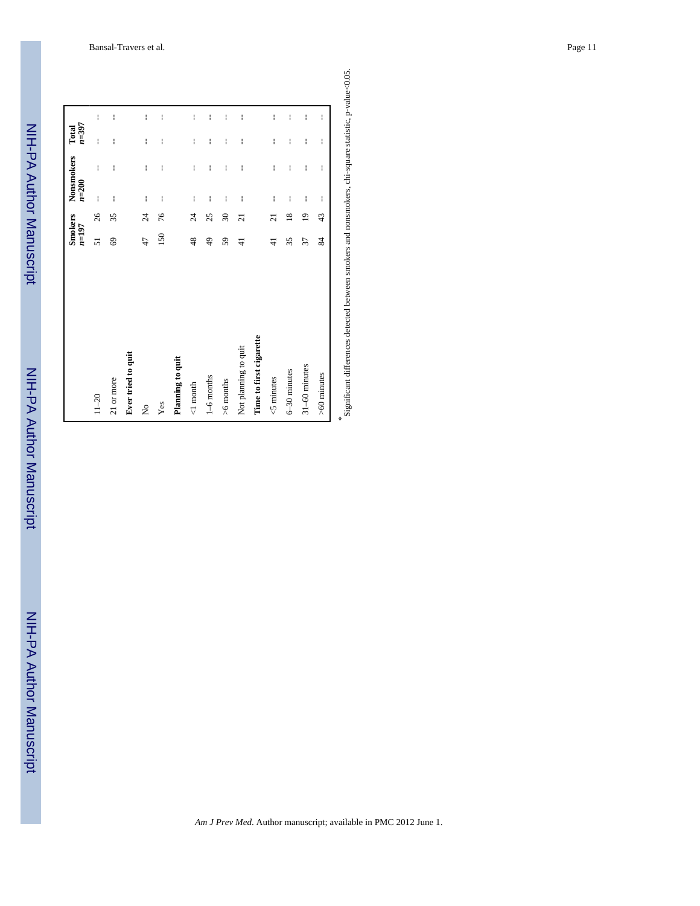#### Bansal-Travers et al. Page 11

NIH-PA Author Manuscript NIH-PA Author Manuscript

NIH-PA Author Manuscript

NIH-PA Author Manuscript

NIH-PA Author Manuscript

NIH-PA Author Manuscript

|                         | Smokers<br>$n=197$ |                   | Nonsmokers<br>$n = 200$ |              | $n = 397$<br>Total |              |  |
|-------------------------|--------------------|-------------------|-------------------------|--------------|--------------------|--------------|--|
| $11 - 20$               | 51                 | 26                | ł                       | ł            | ł                  | ł            |  |
| 21 or more              | 69                 | 35                | ł                       | ł            | ł                  | ł            |  |
| Ever tried to quit      |                    |                   |                         |              |                    |              |  |
| $\frac{1}{2}$           | 47                 | $\overline{c}$    | ł                       | ł            | ł                  | ł            |  |
| Yes                     | 150                | 76                | $\mathbf{I}$            | $\mathbf{I}$ | ł                  | ł            |  |
| Planning to quit        |                    |                   |                         |              |                    |              |  |
| $<1$ month              | 48                 | $\overline{24}$   | ł                       | ł            | ł                  | ł            |  |
| $1-6$ months            | 49                 | 25                | ł                       | $\mathsf I$  | $\mathsf I$        | $\mathbf{I}$ |  |
| >6 months               | 59                 | $\boldsymbol{30}$ | ł                       | ł            | ł                  | I            |  |
| Not planning to quit    | 4                  | $\overline{z}$    | $\mathbf{I}$            | ł            | ł                  | ł            |  |
| Time to first cigarette |                    |                   |                         |              |                    |              |  |
| <b>≤</b> minutes        | $\frac{4}{3}$      | ត                 | ł                       | ł            | ł                  | ł            |  |
| 6-30 minutes            | 35                 | $^{18}$           | ł                       | ł            | ł                  | ł            |  |
| 31-60 minutes           | 37                 | $\overline{0}$    | ł                       | ł            | ł                  | $\mathbf{I}$ |  |
| >60 minutes             | 84                 | 43                | ł                       | ł            | ł                  | ŧ            |  |
|                         |                    |                   |                         |              |                    |              |  |

Significant differences detected between smokers and nonsmokers, chi-square statistic, p-value<0.05.

*\**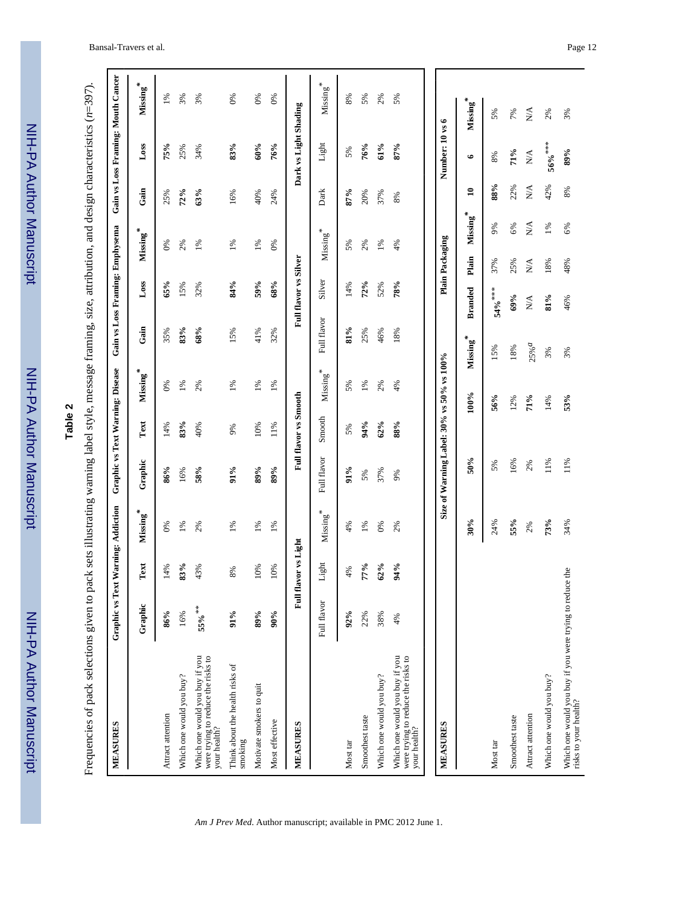| and the state of the state of the state of the state of the state of the state of the state of the state of th |
|----------------------------------------------------------------------------------------------------------------|
|                                                                                                                |
|                                                                                                                |
|                                                                                                                |
|                                                                                                                |
| פייווי⊃                                                                                                        |
|                                                                                                                |
|                                                                                                                |
|                                                                                                                |
|                                                                                                                |
|                                                                                                                |
| <u>ימו ומה</u>                                                                                                 |
|                                                                                                                |
|                                                                                                                |
|                                                                                                                |
|                                                                                                                |
|                                                                                                                |
|                                                                                                                |
|                                                                                                                |
|                                                                                                                |
| Ê                                                                                                              |
|                                                                                                                |
|                                                                                                                |
|                                                                                                                |

| с<br>ч |  |
|--------|--|
| ω      |  |
| ٦      |  |
| ĸ      |  |

| Plain Packaging<br><b>Full flavor vs Silver</b><br>Plain<br>N/A<br>37%<br>25%<br>18%<br>48%<br>Silver<br>Loss<br>84%<br>59%<br>65%<br>68%<br>72%<br>78%<br>15%<br>14%<br>52%<br>32%<br><b>Branded</b><br>$54%$ ***<br>69%<br>81%<br>46%<br>$\mathbb{X}^{\mathsf{A}}$<br>Full flavor<br>Gain<br>83%<br>68%<br>$81\%$<br>15%<br>41%<br>25%<br>35%<br>32%<br>46%<br>18%<br>Missing*<br>$25%$ <sup><math>a</math></sup><br>15%<br>18%<br>3%<br>3%<br>Size of Warning Label: 30% vs 50% vs 100%<br>Missing*<br>$M$ issing $*$<br>$1\%$<br>1%<br>$1\%$<br>0%<br>2%<br>1%<br>5%<br>1%<br>2%<br>4%<br><b>Full flavor vs Smooth</b><br>$100\%$<br>56%<br>53%<br>71%<br>12%<br>14%<br>Smooth<br>Text<br>83%<br>94%<br>88%<br>62%<br>10%<br>14%<br>40%<br>11%<br>$9\%$<br>5%<br>Full flavor<br>50%<br>16%<br>11%<br>11%<br>Graphic<br>2%<br>5%<br>89%<br>86%<br>58%<br>$91\%$<br>89%<br>91%<br>16%<br>37%<br>5%<br>9%<br>Missing <sup>*</sup><br>${\bf M}$ issing $^*$<br>$30\%$<br>55%<br>73%<br>24%<br>34%<br>$1\%$<br>2%<br>$1\%$<br>$1\%$<br>$1\%$<br>4%<br>1%<br>$0\%$<br>2%<br>2%<br>0%<br>Full flavor vs Light<br>Light<br>83%<br>77%<br>62%<br>94%<br>Text<br>14%<br>43%<br>10%<br>10%<br>4%<br>$8\%$<br>Which one would you buy if you were trying to reduce the<br>Full flavor<br>Graphic<br>55% **<br>86%<br>91%<br>89%<br>90%<br>92%<br>16%<br>22%<br>38%<br>$4\%$<br>were trying to reduce the risks to<br>your health?<br>Which one would you buy if you<br>Which one would you buy if you<br>were trying to reduce the risks to<br>your health?<br>Think about the health risks of<br>Which one would you buy?<br>Which one would you buy?<br>Which one would you buy?<br>Motivate smokers to quit<br>Attract attention<br>Attract attention<br>Smoothest taste<br>Smoothest taste<br>Most effective<br>MEASURES<br><b>MEASURES</b><br>smoking<br>Most tar<br>Most tar | <b>MEASURES</b>       |  | Graphic vs Text Warning: Addiction | Graphic vs Text Warning: Disease |  |  | Gain vs Loss Framing: Emphysema                   |          |                                 |                       | Gain vs Loss Framing: Mouth Cancer |
|----------------------------------------------------------------------------------------------------------------------------------------------------------------------------------------------------------------------------------------------------------------------------------------------------------------------------------------------------------------------------------------------------------------------------------------------------------------------------------------------------------------------------------------------------------------------------------------------------------------------------------------------------------------------------------------------------------------------------------------------------------------------------------------------------------------------------------------------------------------------------------------------------------------------------------------------------------------------------------------------------------------------------------------------------------------------------------------------------------------------------------------------------------------------------------------------------------------------------------------------------------------------------------------------------------------------------------------------------------------------------------------------------------------------------------------------------------------------------------------------------------------------------------------------------------------------------------------------------------------------------------------------------------------------------------------------------------------------------------------------------------------------------------------------------------------------------------------------------------------------------|-----------------------|--|------------------------------------|----------------------------------|--|--|---------------------------------------------------|----------|---------------------------------|-----------------------|------------------------------------|
|                                                                                                                                                                                                                                                                                                                                                                                                                                                                                                                                                                                                                                                                                                                                                                                                                                                                                                                                                                                                                                                                                                                                                                                                                                                                                                                                                                                                                                                                                                                                                                                                                                                                                                                                                                                                                                                                            |                       |  |                                    |                                  |  |  | $M$ issing $\stackrel{*}{\underline{\mathbf{s}}}$ | Gain     |                                 | Loss                  | Missing*                           |
|                                                                                                                                                                                                                                                                                                                                                                                                                                                                                                                                                                                                                                                                                                                                                                                                                                                                                                                                                                                                                                                                                                                                                                                                                                                                                                                                                                                                                                                                                                                                                                                                                                                                                                                                                                                                                                                                            |                       |  |                                    |                                  |  |  | 0%                                                | 25%      |                                 | 75%                   | 1%                                 |
|                                                                                                                                                                                                                                                                                                                                                                                                                                                                                                                                                                                                                                                                                                                                                                                                                                                                                                                                                                                                                                                                                                                                                                                                                                                                                                                                                                                                                                                                                                                                                                                                                                                                                                                                                                                                                                                                            |                       |  |                                    |                                  |  |  | 2%                                                | 72%      |                                 | 25%                   | 3%                                 |
|                                                                                                                                                                                                                                                                                                                                                                                                                                                                                                                                                                                                                                                                                                                                                                                                                                                                                                                                                                                                                                                                                                                                                                                                                                                                                                                                                                                                                                                                                                                                                                                                                                                                                                                                                                                                                                                                            |                       |  |                                    |                                  |  |  | 1%                                                | 63%      |                                 | 34%                   | 3%                                 |
|                                                                                                                                                                                                                                                                                                                                                                                                                                                                                                                                                                                                                                                                                                                                                                                                                                                                                                                                                                                                                                                                                                                                                                                                                                                                                                                                                                                                                                                                                                                                                                                                                                                                                                                                                                                                                                                                            |                       |  |                                    |                                  |  |  | $1\%$                                             | 16%      |                                 | 83%                   | 0%                                 |
|                                                                                                                                                                                                                                                                                                                                                                                                                                                                                                                                                                                                                                                                                                                                                                                                                                                                                                                                                                                                                                                                                                                                                                                                                                                                                                                                                                                                                                                                                                                                                                                                                                                                                                                                                                                                                                                                            |                       |  |                                    |                                  |  |  | $1\%$                                             | 40%      |                                 | 60%                   | 0%                                 |
|                                                                                                                                                                                                                                                                                                                                                                                                                                                                                                                                                                                                                                                                                                                                                                                                                                                                                                                                                                                                                                                                                                                                                                                                                                                                                                                                                                                                                                                                                                                                                                                                                                                                                                                                                                                                                                                                            |                       |  |                                    |                                  |  |  | 0%                                                | 24%      |                                 | 76%                   | 0%                                 |
|                                                                                                                                                                                                                                                                                                                                                                                                                                                                                                                                                                                                                                                                                                                                                                                                                                                                                                                                                                                                                                                                                                                                                                                                                                                                                                                                                                                                                                                                                                                                                                                                                                                                                                                                                                                                                                                                            |                       |  |                                    |                                  |  |  |                                                   |          |                                 | Dark vs Light Shading |                                    |
|                                                                                                                                                                                                                                                                                                                                                                                                                                                                                                                                                                                                                                                                                                                                                                                                                                                                                                                                                                                                                                                                                                                                                                                                                                                                                                                                                                                                                                                                                                                                                                                                                                                                                                                                                                                                                                                                            |                       |  |                                    |                                  |  |  | $M$ issing $*$                                    | Dark     |                                 | Light                 | ${\bf M}$ issing $^*$              |
|                                                                                                                                                                                                                                                                                                                                                                                                                                                                                                                                                                                                                                                                                                                                                                                                                                                                                                                                                                                                                                                                                                                                                                                                                                                                                                                                                                                                                                                                                                                                                                                                                                                                                                                                                                                                                                                                            |                       |  |                                    |                                  |  |  | 5%                                                | 87%      |                                 | 5%                    | 8%                                 |
|                                                                                                                                                                                                                                                                                                                                                                                                                                                                                                                                                                                                                                                                                                                                                                                                                                                                                                                                                                                                                                                                                                                                                                                                                                                                                                                                                                                                                                                                                                                                                                                                                                                                                                                                                                                                                                                                            |                       |  |                                    |                                  |  |  | 2%                                                | 20%      |                                 | 76%                   | 5%                                 |
|                                                                                                                                                                                                                                                                                                                                                                                                                                                                                                                                                                                                                                                                                                                                                                                                                                                                                                                                                                                                                                                                                                                                                                                                                                                                                                                                                                                                                                                                                                                                                                                                                                                                                                                                                                                                                                                                            |                       |  |                                    |                                  |  |  | 1%                                                | 37%      |                                 | 61%                   | 2%                                 |
|                                                                                                                                                                                                                                                                                                                                                                                                                                                                                                                                                                                                                                                                                                                                                                                                                                                                                                                                                                                                                                                                                                                                                                                                                                                                                                                                                                                                                                                                                                                                                                                                                                                                                                                                                                                                                                                                            |                       |  |                                    |                                  |  |  | $4\%$                                             | $8\%$    |                                 | 87%                   | 5%                                 |
|                                                                                                                                                                                                                                                                                                                                                                                                                                                                                                                                                                                                                                                                                                                                                                                                                                                                                                                                                                                                                                                                                                                                                                                                                                                                                                                                                                                                                                                                                                                                                                                                                                                                                                                                                                                                                                                                            |                       |  |                                    |                                  |  |  |                                                   |          |                                 | Number: 10 vs 6       |                                    |
|                                                                                                                                                                                                                                                                                                                                                                                                                                                                                                                                                                                                                                                                                                                                                                                                                                                                                                                                                                                                                                                                                                                                                                                                                                                                                                                                                                                                                                                                                                                                                                                                                                                                                                                                                                                                                                                                            |                       |  |                                    |                                  |  |  |                                                   | Missing* | $\bullet$<br>$\mathbf{a}$       |                       | Missing*                           |
|                                                                                                                                                                                                                                                                                                                                                                                                                                                                                                                                                                                                                                                                                                                                                                                                                                                                                                                                                                                                                                                                                                                                                                                                                                                                                                                                                                                                                                                                                                                                                                                                                                                                                                                                                                                                                                                                            |                       |  |                                    |                                  |  |  |                                                   | $9\%$    | $8\%$<br>88%                    |                       | 5%                                 |
|                                                                                                                                                                                                                                                                                                                                                                                                                                                                                                                                                                                                                                                                                                                                                                                                                                                                                                                                                                                                                                                                                                                                                                                                                                                                                                                                                                                                                                                                                                                                                                                                                                                                                                                                                                                                                                                                            |                       |  |                                    |                                  |  |  |                                                   | 6%       | 71%<br>22%                      |                       | 7%                                 |
|                                                                                                                                                                                                                                                                                                                                                                                                                                                                                                                                                                                                                                                                                                                                                                                                                                                                                                                                                                                                                                                                                                                                                                                                                                                                                                                                                                                                                                                                                                                                                                                                                                                                                                                                                                                                                                                                            |                       |  |                                    |                                  |  |  |                                                   | N/A      | ${\rm N/A}$<br>$\sum_{i=1}^{n}$ |                       | $\sum_{i=1}^{n}$                   |
|                                                                                                                                                                                                                                                                                                                                                                                                                                                                                                                                                                                                                                                                                                                                                                                                                                                                                                                                                                                                                                                                                                                                                                                                                                                                                                                                                                                                                                                                                                                                                                                                                                                                                                                                                                                                                                                                            |                       |  |                                    |                                  |  |  |                                                   | $1\%$    | $56%$ ***<br>42%                |                       | 2%                                 |
|                                                                                                                                                                                                                                                                                                                                                                                                                                                                                                                                                                                                                                                                                                                                                                                                                                                                                                                                                                                                                                                                                                                                                                                                                                                                                                                                                                                                                                                                                                                                                                                                                                                                                                                                                                                                                                                                            | risks to your health? |  |                                    |                                  |  |  |                                                   | 6%       | 89%<br>$8\%$                    |                       | 3%                                 |